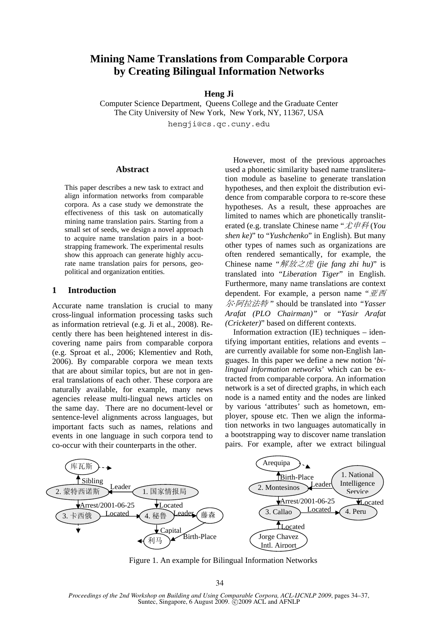# **Mining Name Translations from Comparable Corpora by Creating Bilingual Information Networks**

#### **Heng Ji**

Computer Science Department, Queens College and the Graduate Center The City University of New York, New York, NY, 11367, USA hengji@cs.qc.cuny.edu

### **Abstract**

This paper describes a new task to extract and align information networks from comparable corpora. As a case study we demonstrate the effectiveness of this task on automatically mining name translation pairs. Starting from a small set of seeds, we design a novel approach to acquire name translation pairs in a bootstrapping framework. The experimental results show this approach can generate highly accurate name translation pairs for persons, geopolitical and organization entities.

### **1 Introduction**

Accurate name translation is crucial to many cross-lingual information processing tasks such as information retrieval (e.g. Ji et al., 2008). Recently there has been heightened interest in discovering name pairs from comparable corpora (e.g. Sproat et al., 2006; Klementiev and Roth, 2006). By comparable corpora we mean texts that are about similar topics, but are not in general translations of each other. These corpora are naturally available, for example, many news agencies release multi-lingual news articles on the same day. There are no document-level or sentence-level alignments across languages, but important facts such as names, relations and events in one language in such corpora tend to co-occur with their counterparts in the other.

However, most of the previous approaches used a phonetic similarity based name transliteration module as baseline to generate translation hypotheses, and then exploit the distribution evidence from comparable corpora to re-score these hypotheses. As a result, these approaches are limited to names which are phonetically transliterated (e.g. translate Chinese name "尤申科 (*You shen ke)*" to "*Yushchenko*" in English). But many other types of names such as organizations are often rendered semantically, for example, the Chinese name "解放之虎 *(jie fang zhi hu)*" is translated into "*Liberation Tiger*" in English. Furthermore, many name translations are context dependent. For example, a person name " $\overline{\mathbb{Z}}$ 尔*·*阿拉法特 " should be translated into *"Yasser Arafat (PLO Chairman)"* or "*Yasir Arafat (Cricketer)*" based on different contexts.

Information extraction (IE) techniques – identifying important entities, relations and events – are currently available for some non-English languages. In this paper we define a new notion '*bilingual information networks*' which can be extracted from comparable corpora. An information network is a set of directed graphs, in which each node is a named entity and the nodes are linked by various 'attributes' such as hometown, employer, spouse etc. Then we align the information networks in two languages automatically in a bootstrapping way to discover name translation pairs. For example, after we extract bilingual



Figure 1. An example for Bilingual Information Networks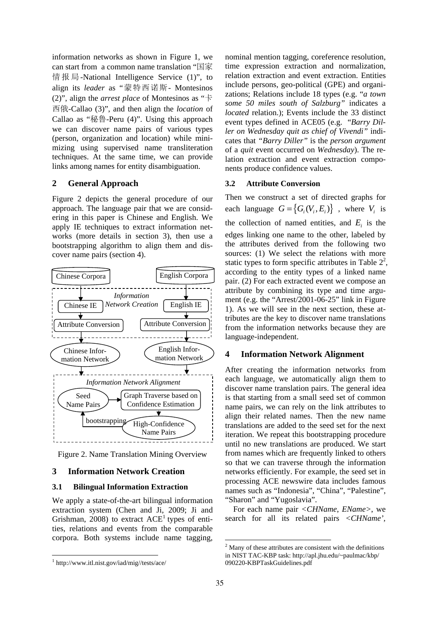information networks as shown in Figure 1, we can start from a common name translation "国家 情报局-National Intelligence Service (1)", to align its *leader* as "蒙特西诺斯- Montesinos (2)", align the *arrest place* of Montesinos as "卡 西俄-Callao (3)", and then align the *location* of Callao as "秘鲁-Peru (4)". Using this approach we can discover name pairs of various types (person, organization and location) while minimizing using supervised name transliteration techniques. At the same time, we can provide links among names for entity disambiguation.

# **2 General Approach**

Figure 2 depicts the general procedure of our approach. The language pair that we are considering in this paper is Chinese and English. We apply IE techniques to extract information networks (more details in section 3), then use a bootstrapping algorithm to align them and discover name pairs (section 4).



Figure 2. Name Translation Mining Overview

### **3 Information Network Creation**

#### **3.1 Bilingual Information Extraction**

We apply a state-of-the-art bilingual information extraction system (Chen and Ji, 2009; Ji and Grishman, 2008) to extract  $ACE<sup>1</sup>$  types of entities, relations and events from the comparable corpora. Both systems include name tagging,

#### **3.2 Attribute Conversion**

Then we construct a set of directed graphs for each language  $G = \{ G_i(V_i, E_i) \}$ , where  $V_i$  is the collection of named entities, and  $E_i$  is the edges linking one name to the other, labeled by the attributes derived from the following two sources: (1) We select the relations with more static types to form specific attributes in Table  $2^2$ , according to the entity types of a linked name pair. (2) For each extracted event we compose an attribute by combining its type and time argument (e.g. the "Arrest/2001-06-25" link in Figure 1). As we will see in the next section, these attributes are the key to discover name translations from the information networks because they are language-independent.

#### **4 Information Network Alignment**

After creating the information networks from each language, we automatically align them to discover name translation pairs. The general idea is that starting from a small seed set of common name pairs, we can rely on the link attributes to align their related names. Then the new name translations are added to the seed set for the next iteration. We repeat this bootstrapping procedure until no new translations are produced. We start from names which are frequently linked to others so that we can traverse through the information networks efficiently. For example, the seed set in processing ACE newswire data includes famous names such as "Indonesia", "China", "Palestine", "Sharon" and "Yugoslavia".

For each name pair *<CHName*, *EName>*, we search for all its related pairs *<CHName',*

nominal mention tagging, coreference resolution, time expression extraction and normalization, relation extraction and event extraction. Entities include persons, geo-political (GPE) and organizations; Relations include 18 types (e.g. "*a town some 50 miles south of Salzburg"* indicates a *located* relation.); Events include the 33 distinct event types defined in ACE05 (e.g. "*Barry Diller on Wednesday quit as chief of Vivendi"* indicates that *"Barry Diller"* is the *person argument* of a *quit* event occurred on *Wednesday*). The relation extraction and event extraction components produce confidence values.

 $2$  Many of these attributes are consistent with the definitions in NIST TAC-KBP task: http://apl.jhu.edu/~paulmac/kbp/ 090220-KBPTaskGuidelines.pdf

<sup>1</sup> http://www.itl.nist.gov/iad/mig//tests/ace/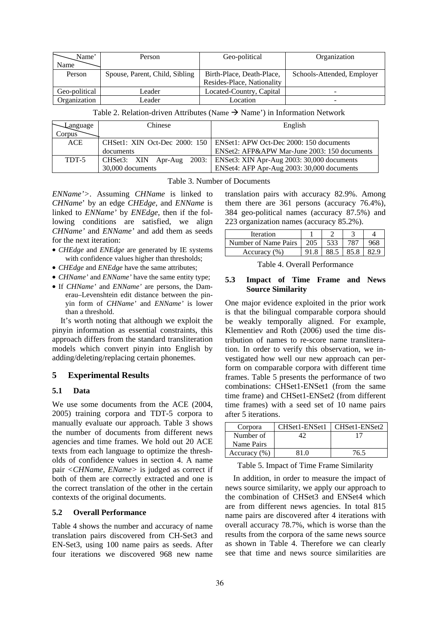| Name'         | Person                         | Geo-political              | Organization               |
|---------------|--------------------------------|----------------------------|----------------------------|
| Name          |                                |                            |                            |
| Person        | Spouse, Parent, Child, Sibling | Birth-Place, Death-Place,  | Schools-Attended, Employer |
|               |                                | Resides-Place, Nationality |                            |
| Geo-political | Leader                         | Located-Country, Capital   | $\overline{\phantom{0}}$   |
| Organization  | Leader                         | Location                   | -                          |

Table 2. Relation-driven Attributes (Name  $\rightarrow$  Name') in Information Network

| Language | Chinese          | English                                                                 |
|----------|------------------|-------------------------------------------------------------------------|
| Corpus   |                  |                                                                         |
| ACE      |                  | CHSet1: XIN Oct-Dec 2000: 150   ENSet1: APW Oct-Dec 2000: 150 documents |
|          | documents        | ENSet2: AFP&APW Mar-June 2003: 150 documents                            |
| TDT-5    |                  | CHSet3: XIN Apr-Aug 2003: ENSet3: XIN Apr-Aug 2003: 30,000 documents    |
|          | 30,000 documents | ENSet4: AFP Apr-Aug 2003: 30,000 documents                              |

Table 3. Number of Documents

*ENName'>*. Assuming *CHName* is linked to *CHName*' by an edge *CHEdge*, and *ENName* is linked to *ENName'* by *ENEdge*, then if the following conditions are satisfied, we align *CHName'* and *ENName'* and add them as seeds for the next iteration:

- *CHEdge* and *ENEdge* are generated by IE systems with confidence values higher than thresholds;
- *CHEdge* and *ENEdge* have the same attributes;
- *CHName'* and *ENName'* have the same entity type;
- If *CHName'* and *ENName'* are persons, the Damerau–Levenshtein edit distance between the pinyin form of *CHName'* and *ENName'* is lower than a threshold.

It's worth noting that although we exploit the pinyin information as essential constraints, this approach differs from the standard transliteration models which convert pinyin into English by adding/deleting/replacing certain phonemes.

### **5 Experimental Results**

### **5.1 Data**

We use some documents from the ACE (2004, 2005) training corpora and TDT-5 corpora to manually evaluate our approach. Table 3 shows the number of documents from different news agencies and time frames. We hold out 20 ACE texts from each language to optimize the thresholds of confidence values in section 4. A name pair *<CHName*, *EName>* is judged as correct if both of them are correctly extracted and one is the correct translation of the other in the certain contexts of the original documents.

### **5.2 Overall Performance**

Table 4 shows the number and accuracy of name translation pairs discovered from CH-Set3 and EN-Set3, using 100 name pairs as seeds. After four iterations we discovered 968 new name

translation pairs with accuracy 82.9%. Among them there are 361 persons (accuracy 76.4%), 384 geo-political names (accuracy 87.5%) and 223 organization names (accuracy 85.2%).

| <b>Iteration</b>     |     |  |  |
|----------------------|-----|--|--|
| Number of Name Pairs | 205 |  |  |
| Accuracy (%)         |     |  |  |

|  | Table 4. Overall Performance |
|--|------------------------------|
|--|------------------------------|

#### **5.3 Impact of Time Frame and News Source Similarity**

One major evidence exploited in the prior work is that the bilingual comparable corpora should be weakly temporally aligned. For example, Klementiev and Roth (2006) used the time distribution of names to re-score name transliteration. In order to verify this observation, we investigated how well our new approach can perform on comparable corpora with different time frames. Table 5 presents the performance of two combinations: CHSet1-ENSet1 (from the same time frame) and CHSet1-ENSet2 (from different time frames) with a seed set of 10 name pairs after 5 iterations.

| Corpora          | CHSet1-ENSet1 | CHSet1-ENSet2 |
|------------------|---------------|---------------|
| Number of        |               |               |
| Name Pairs       |               |               |
| Accuracy $(\% )$ | 81 O          | 76.5          |

Table 5. Impact of Time Frame Similarity

In addition, in order to measure the impact of news source similarity, we apply our approach to the combination of CHSet3 and ENSet4 which are from different news agencies. In total 815 name pairs are discovered after 4 iterations with overall accuracy 78.7%, which is worse than the results from the corpora of the same news source as shown in Table 4. Therefore we can clearly see that time and news source similarities are